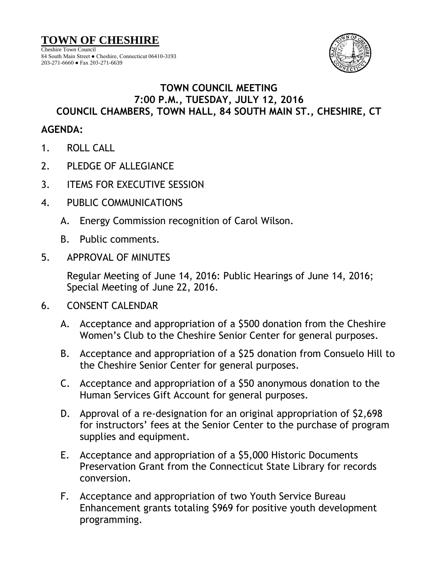

## **TOWN COUNCIL MEETING 7:00 P.M., TUESDAY, JULY 12, 2016 COUNCIL CHAMBERS, TOWN HALL, 84 SOUTH MAIN ST., CHESHIRE, CT**

## **AGENDA:**

- 1. ROLL CALL
- 2. PLEDGE OF ALLEGIANCE
- 3. ITEMS FOR EXECUTIVE SESSION
- 4. PUBLIC COMMUNICATIONS
	- A. Energy Commission recognition of Carol Wilson.
	- B. Public comments.
- 5. APPROVAL OF MINUTES

Regular Meeting of June 14, 2016: Public Hearings of June 14, 2016; Special Meeting of June 22, 2016.

- 6. CONSENT CALENDAR
	- A. Acceptance and appropriation of a \$500 donation from the Cheshire Women's Club to the Cheshire Senior Center for general purposes.
	- B. Acceptance and appropriation of a \$25 donation from Consuelo Hill to the Cheshire Senior Center for general purposes.
	- C. Acceptance and appropriation of a \$50 anonymous donation to the Human Services Gift Account for general purposes.
	- D. Approval of a re-designation for an original appropriation of \$2,698 for instructors' fees at the Senior Center to the purchase of program supplies and equipment.
	- E. Acceptance and appropriation of a \$5,000 Historic Documents Preservation Grant from the Connecticut State Library for records conversion.
	- F. Acceptance and appropriation of two Youth Service Bureau Enhancement grants totaling \$969 for positive youth development programming.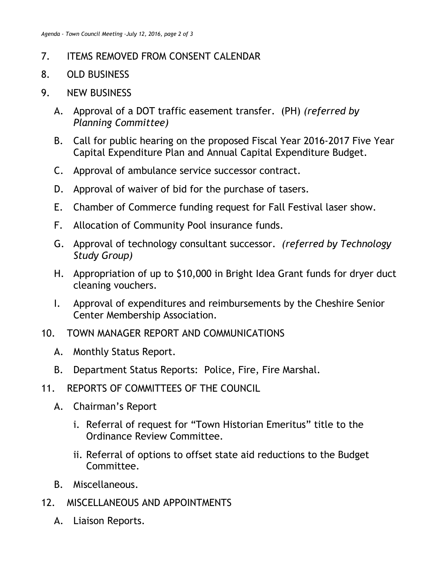## 7. ITEMS REMOVED FROM CONSENT CALENDAR

- 8. OLD BUSINESS
- 9. NEW BUSINESS
	- A. Approval of a DOT traffic easement transfer. (PH) *(referred by Planning Committee)*
	- B. Call for public hearing on the proposed Fiscal Year 2016-2017 Five Year Capital Expenditure Plan and Annual Capital Expenditure Budget.
	- C. Approval of ambulance service successor contract.
	- D. Approval of waiver of bid for the purchase of tasers.
	- E. Chamber of Commerce funding request for Fall Festival laser show.
	- F. Allocation of Community Pool insurance funds.
	- G. Approval of technology consultant successor. *(referred by Technology Study Group)*
	- H. Appropriation of up to \$10,000 in Bright Idea Grant funds for dryer duct cleaning vouchers.
	- I. Approval of expenditures and reimbursements by the Cheshire Senior Center Membership Association.
- 10. TOWN MANAGER REPORT AND COMMUNICATIONS
	- A. Monthly Status Report.
	- B. Department Status Reports: Police, Fire, Fire Marshal.
- 11. REPORTS OF COMMITTEES OF THE COUNCIL
	- A. Chairman's Report
		- i. Referral of request for "Town Historian Emeritus" title to the Ordinance Review Committee.
		- ii. Referral of options to offset state aid reductions to the Budget Committee.
	- B. Miscellaneous.
- 12. MISCELLANEOUS AND APPOINTMENTS
	- A. Liaison Reports.